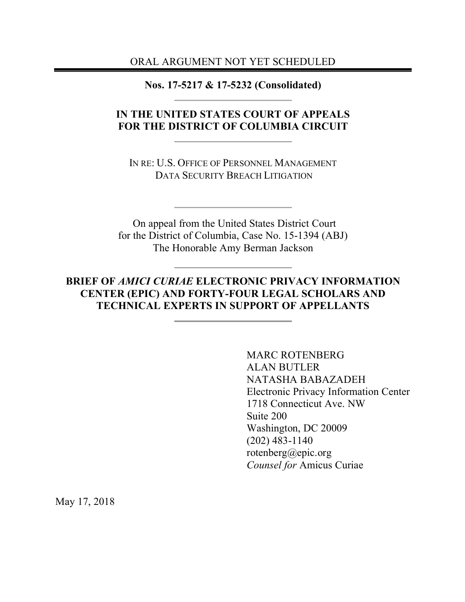ORAL ARGUMENT NOT YET SCHEDULED

**Nos. 17-5217 & 17-5232 (Consolidated)**

## **IN THE UNITED STATES COURT OF APPEALS FOR THE DISTRICT OF COLUMBIA CIRCUIT**

IN RE: U.S. OFFICE OF PERSONNEL MANAGEMENT DATA SECURITY BREACH LITIGATION

On appeal from the United States District Court for the District of Columbia, Case No. 15-1394 (ABJ) The Honorable Amy Berman Jackson

## **BRIEF OF** *AMICI CURIAE* **ELECTRONIC PRIVACY INFORMATION CENTER (EPIC) AND FORTY-FOUR LEGAL SCHOLARS AND TECHNICAL EXPERTS IN SUPPORT OF APPELLANTS**

MARC ROTENBERG ALAN BUTLER NATASHA BABAZADEH Electronic Privacy Information Center 1718 Connecticut Ave. NW Suite 200 Washington, DC 20009 (202) 483-1140 rotenberg@epic.org *Counsel for* Amicus Curiae

May 17, 2018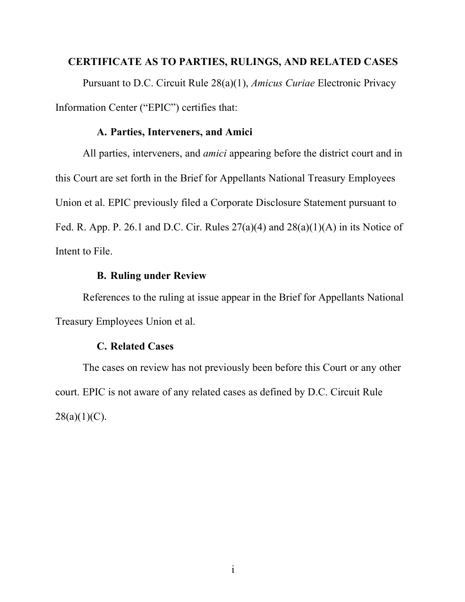## **CERTIFICATE AS TO PARTIES, RULINGS, AND RELATED CASES**

Pursuant to D.C. Circuit Rule 28(a)(1), *Amicus Curiae* Electronic Privacy Information Center ("EPIC") certifies that:

## **A. Parties, Interveners, and Amici**

All parties, interveners, and *amici* appearing before the district court and in this Court are set forth in the Brief for Appellants National Treasury Employees Union et al. EPIC previously filed a Corporate Disclosure Statement pursuant to Fed. R. App. P. 26.1 and D.C. Cir. Rules  $27(a)(4)$  and  $28(a)(1)(A)$  in its Notice of Intent to File.

### **B. Ruling under Review**

References to the ruling at issue appear in the Brief for Appellants National Treasury Employees Union et al.

#### **C. Related Cases**

The cases on review has not previously been before this Court or any other court. EPIC is not aware of any related cases as defined by D.C. Circuit Rule  $28(a)(1)(C)$ .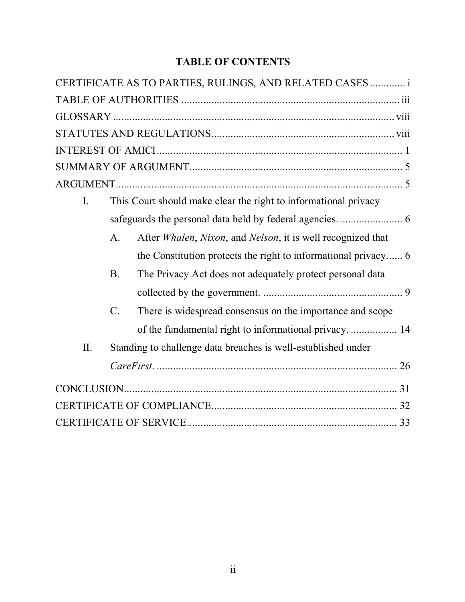## **TABLE OF CONTENTS**

|             |                 | CERTIFICATE AS TO PARTIES, RULINGS, AND RELATED CASES  i        |  |
|-------------|-----------------|-----------------------------------------------------------------|--|
|             |                 |                                                                 |  |
|             |                 |                                                                 |  |
|             |                 |                                                                 |  |
|             |                 |                                                                 |  |
|             |                 |                                                                 |  |
|             |                 |                                                                 |  |
| $I_{\cdot}$ |                 | This Court should make clear the right to informational privacy |  |
|             |                 |                                                                 |  |
|             | $\mathsf{A}$ .  | After Whalen, Nixon, and Nelson, it is well recognized that     |  |
|             |                 | the Constitution protects the right to informational privacy 6  |  |
|             | <b>B</b> .      | The Privacy Act does not adequately protect personal data       |  |
|             |                 |                                                                 |  |
|             | $\mathcal{C}$ . | There is widespread consensus on the importance and scope       |  |
|             |                 | of the fundamental right to informational privacy 14            |  |
| II.         |                 | Standing to challenge data breaches is well-established under   |  |
|             |                 |                                                                 |  |
|             |                 |                                                                 |  |
|             |                 |                                                                 |  |
|             |                 |                                                                 |  |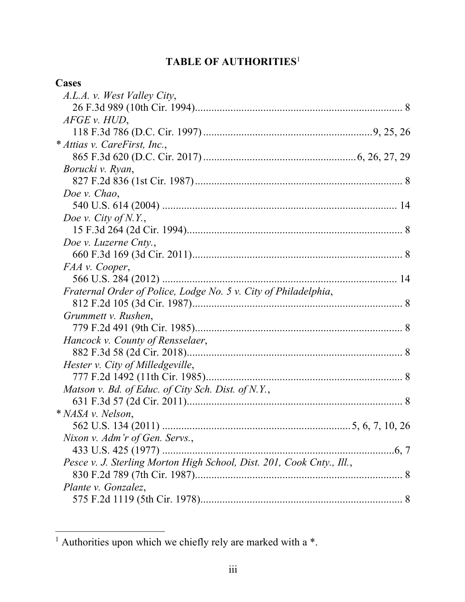# **TABLE OF AUTHORITIES**<sup>1</sup>

| Cases                                                                 |  |
|-----------------------------------------------------------------------|--|
| A.L.A. v. West Valley City,                                           |  |
|                                                                       |  |
| $AFGE$ v. $HUD$ ,                                                     |  |
|                                                                       |  |
| * Attias v. CareFirst, Inc.,                                          |  |
|                                                                       |  |
| Borucki v. Ryan,                                                      |  |
|                                                                       |  |
| Doe v. Chao,                                                          |  |
|                                                                       |  |
| Doe v. City of N.Y.,                                                  |  |
|                                                                       |  |
| Doe v. Luzerne Cnty.,                                                 |  |
|                                                                       |  |
| FAA v. Cooper,                                                        |  |
|                                                                       |  |
| Fraternal Order of Police, Lodge No. 5 v. City of Philadelphia,       |  |
|                                                                       |  |
| Grummett v. Rushen,                                                   |  |
|                                                                       |  |
| Hancock v. County of Rensselaer,                                      |  |
|                                                                       |  |
| Hester v. City of Milledgeville,                                      |  |
|                                                                       |  |
| Matson v. Bd. of Educ. of City Sch. Dist. of N.Y.,                    |  |
|                                                                       |  |
| * NASA v. Nelson,                                                     |  |
|                                                                       |  |
| Nixon v. Adm'r of Gen. Servs.,                                        |  |
|                                                                       |  |
| Pesce v. J. Sterling Morton High School, Dist. 201, Cook Cnty., Ill., |  |
|                                                                       |  |
| Plante v. Gonzalez,                                                   |  |
|                                                                       |  |

 $\frac{1}{1}$  Authorities upon which we chiefly rely are marked with a \*.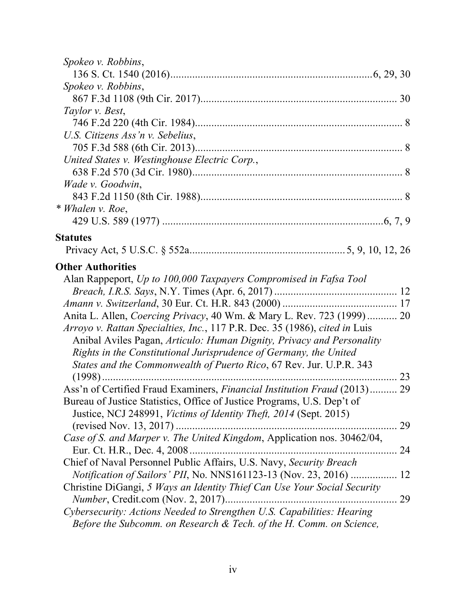| Spokeo v. Robbins,                                                         |    |
|----------------------------------------------------------------------------|----|
|                                                                            |    |
| Spokeo v. Robbins,                                                         |    |
|                                                                            |    |
| Taylor v. Best,                                                            |    |
|                                                                            |    |
| U.S. Citizens Ass'n v. Sebelius,                                           |    |
|                                                                            |    |
| United States v. Westinghouse Electric Corp.,                              |    |
|                                                                            |    |
| Wade v. Goodwin,                                                           |    |
|                                                                            |    |
| * Whalen v. Roe,                                                           |    |
|                                                                            |    |
| <b>Statutes</b>                                                            |    |
|                                                                            |    |
| <b>Other Authorities</b>                                                   |    |
| Alan Rappeport, Up to 100,000 Taxpayers Compromised in Fafsa Tool          |    |
|                                                                            |    |
|                                                                            |    |
| Anita L. Allen, Coercing Privacy, 40 Wm. & Mary L. Rev. 723 (1999) 20      |    |
| Arroyo v. Rattan Specialties, Inc., 117 P.R. Dec. 35 (1986), cited in Luis |    |
| Anibal Aviles Pagan, Articulo: Human Dignity, Privacy and Personality      |    |
| Rights in the Constitutional Jurisprudence of Germany, the United          |    |
| States and the Commonwealth of Puerto Rico, 67 Rev. Jur. U.P.R. 343        |    |
|                                                                            |    |
| Ass'n of Certified Fraud Examiners, Financial Institution Fraud (2013) 29  |    |
| Bureau of Justice Statistics, Office of Justice Programs, U.S. Dep't of    |    |
| Justice, NCJ 248991, Victims of Identity Theft, 2014 (Sept. 2015)          |    |
|                                                                            | 29 |
| Case of S. and Marper v. The United Kingdom, Application nos. 30462/04,    |    |
|                                                                            | 24 |
| Chief of Naval Personnel Public Affairs, U.S. Navy, Security Breach        |    |
| <i>Notification of Sailors' PII, No. NNS161123-13 (Nov. 23, 2016) </i>     | 12 |
| Christine DiGangi, 5 Ways an Identity Thief Can Use Your Social Security   |    |
|                                                                            | 29 |
| Cybersecurity: Actions Needed to Strengthen U.S. Capabilities: Hearing     |    |
| Before the Subcomm. on Research & Tech. of the H. Comm. on Science,        |    |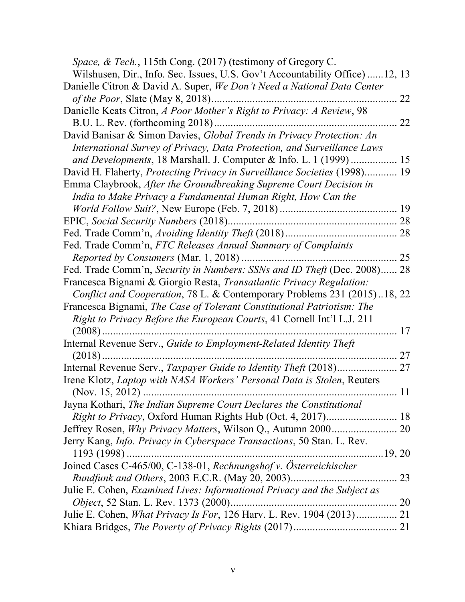| Space, & Tech., 115th Cong. (2017) (testimony of Gregory C.                                                                        |    |
|------------------------------------------------------------------------------------------------------------------------------------|----|
| Wilshusen, Dir., Info. Sec. Issues, U.S. Gov't Accountability Office) 12, 13                                                       |    |
| Danielle Citron & David A. Super, We Don't Need a National Data Center                                                             |    |
| of the Poor, Slate (May 8, 2018)                                                                                                   | 22 |
| Danielle Keats Citron, A Poor Mother's Right to Privacy: A Review, 98                                                              |    |
| B.U. L. Rev. (forthcoming 2018)                                                                                                    | 22 |
| David Banisar & Simon Davies, Global Trends in Privacy Protection: An                                                              |    |
| International Survey of Privacy, Data Protection, and Surveillance Laws                                                            |    |
| and Developments, 18 Marshall. J. Computer & Info. L. 1 (1999) 15                                                                  |    |
| David H. Flaherty, <i>Protecting Privacy in Surveillance Societies</i> (1998) 19                                                   |    |
| Emma Claybrook, After the Groundbreaking Supreme Court Decision in<br>India to Make Privacy a Fundamental Human Right, How Can the |    |
|                                                                                                                                    |    |
|                                                                                                                                    |    |
|                                                                                                                                    | 28 |
| Fed. Trade Comm'n, FTC Releases Annual Summary of Complaints                                                                       |    |
| Reported by Consumers (Mar. 1, 2018)                                                                                               | 25 |
| Fed. Trade Comm'n, Security in Numbers: SSNs and ID Theft (Dec. 2008) 28                                                           |    |
| Francesca Bignami & Giorgio Resta, Transatlantic Privacy Regulation:                                                               |    |
| Conflict and Cooperation, 78 L. & Contemporary Problems 231 (2015)18, 22                                                           |    |
| Francesca Bignami, The Case of Tolerant Constitutional Patriotism: The                                                             |    |
| Right to Privacy Before the European Courts, 41 Cornell Int'l L.J. 211                                                             |    |
| $(2008)$                                                                                                                           | 17 |
| Internal Revenue Serv., Guide to Employment-Related Identity Theft                                                                 |    |
| $(2018)$                                                                                                                           | 27 |
| Internal Revenue Serv., Taxpayer Guide to Identity Theft (2018)                                                                    | 27 |
| Irene Klotz, Laptop with NASA Workers' Personal Data is Stolen, Reuters                                                            |    |
|                                                                                                                                    | 11 |
| Jayna Kothari, The Indian Supreme Court Declares the Constitutional                                                                |    |
|                                                                                                                                    |    |
|                                                                                                                                    |    |
| Jerry Kang, <i>Info. Privacy in Cyberspace Transactions</i> , 50 Stan. L. Rev.                                                     |    |
|                                                                                                                                    |    |
| Joined Cases C-465/00, C-138-01, Rechnungshof v. Österreichischer                                                                  |    |
|                                                                                                                                    |    |
| Julie E. Cohen, Examined Lives: Informational Privacy and the Subject as                                                           |    |
|                                                                                                                                    |    |
| Julie E. Cohen, What Privacy Is For, 126 Harv. L. Rev. 1904 (2013) 21                                                              |    |
|                                                                                                                                    |    |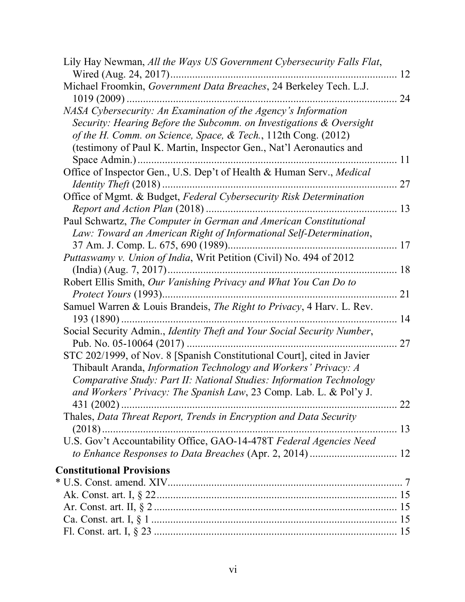| Lily Hay Newman, All the Ways US Government Cybersecurity Falls Flat,                                                                                                                                                                                                                    | 12       |
|------------------------------------------------------------------------------------------------------------------------------------------------------------------------------------------------------------------------------------------------------------------------------------------|----------|
| Michael Froomkin, Government Data Breaches, 24 Berkeley Tech. L.J.<br>$1019(2009)$                                                                                                                                                                                                       | 24       |
| NASA Cybersecurity: An Examination of the Agency's Information<br>Security: Hearing Before the Subcomm. on Investigations & Oversight<br>of the H. Comm. on Science, Space, & Tech., 112th Cong. (2012)<br>(testimony of Paul K. Martin, Inspector Gen., Nat'l Aeronautics and           | 11       |
| Office of Inspector Gen., U.S. Dep't of Health & Human Serv., Medical                                                                                                                                                                                                                    |          |
| Office of Mgmt. & Budget, Federal Cybersecurity Risk Determination                                                                                                                                                                                                                       | 27       |
|                                                                                                                                                                                                                                                                                          | 13       |
| Paul Schwartz, The Computer in German and American Constitutional<br>Law: Toward an American Right of Informational Self-Determination,                                                                                                                                                  |          |
| 37 Am. J. Comp. L. 675, 690 (1989)<br>Puttaswamy v. Union of India, Writ Petition (Civil) No. 494 of 2012                                                                                                                                                                                | 17       |
| Robert Ellis Smith, Our Vanishing Privacy and What You Can Do to                                                                                                                                                                                                                         | 18<br>21 |
| Samuel Warren & Louis Brandeis, The Right to Privacy, 4 Harv. L. Rev.                                                                                                                                                                                                                    | 14       |
| Social Security Admin., Identity Theft and Your Social Security Number,                                                                                                                                                                                                                  | 27       |
| STC 202/1999, of Nov. 8 [Spanish Constitutional Court], cited in Javier<br>Thibault Aranda, Information Technology and Workers' Privacy: A<br>Comparative Study: Part II: National Studies: Information Technology<br>and Workers' Privacy: The Spanish Law, 23 Comp. Lab. L. & Pol'y J. |          |
| $431(2002)$<br>. 22<br>Thales, Data Threat Report, Trends in Encryption and Data Security                                                                                                                                                                                                |          |
| <u>.</u><br>U.S. Gov't Accountability Office, GAO-14-478T Federal Agencies Need                                                                                                                                                                                                          | 13       |
|                                                                                                                                                                                                                                                                                          |          |
| <b>Constitutional Provisions</b>                                                                                                                                                                                                                                                         |          |
|                                                                                                                                                                                                                                                                                          |          |
|                                                                                                                                                                                                                                                                                          |          |
|                                                                                                                                                                                                                                                                                          |          |
|                                                                                                                                                                                                                                                                                          |          |
|                                                                                                                                                                                                                                                                                          |          |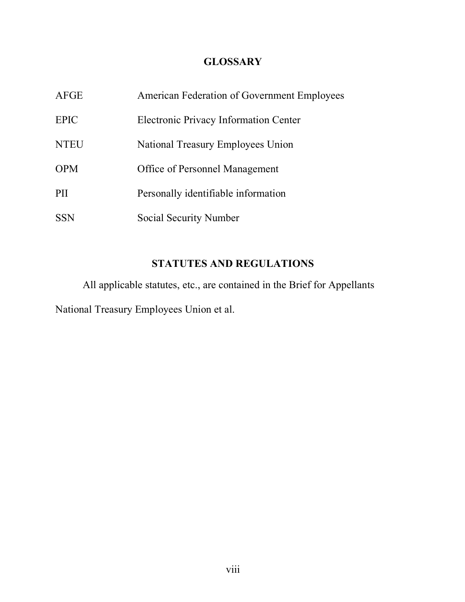## **GLOSSARY**

| AFGE        | American Federation of Government Employees |
|-------------|---------------------------------------------|
| <b>EPIC</b> | Electronic Privacy Information Center       |
| <b>NTEU</b> | National Treasury Employees Union           |
| <b>OPM</b>  | <b>Office of Personnel Management</b>       |
| <b>PII</b>  | Personally identifiable information         |
| <b>SSN</b>  | Social Security Number                      |

## **STATUTES AND REGULATIONS**

All applicable statutes, etc., are contained in the Brief for Appellants National Treasury Employees Union et al.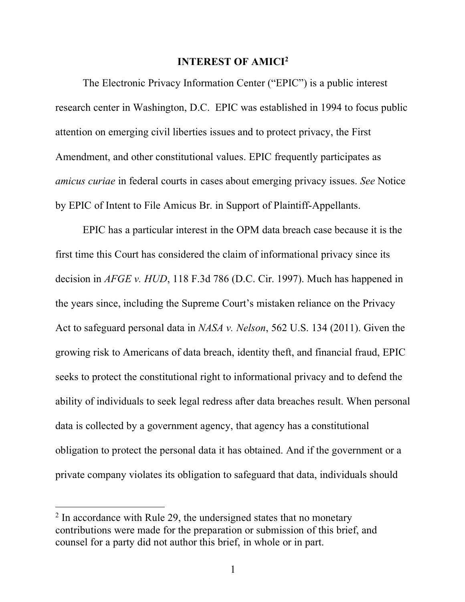### **INTEREST OF AMICI2**

The Electronic Privacy Information Center ("EPIC") is a public interest research center in Washington, D.C. EPIC was established in 1994 to focus public attention on emerging civil liberties issues and to protect privacy, the First Amendment, and other constitutional values. EPIC frequently participates as *amicus curiae* in federal courts in cases about emerging privacy issues. *See* Notice by EPIC of Intent to File Amicus Br. in Support of Plaintiff-Appellants.

EPIC has a particular interest in the OPM data breach case because it is the first time this Court has considered the claim of informational privacy since its decision in *AFGE v. HUD*, 118 F.3d 786 (D.C. Cir. 1997). Much has happened in the years since, including the Supreme Court's mistaken reliance on the Privacy Act to safeguard personal data in *NASA v. Nelson*, 562 U.S. 134 (2011). Given the growing risk to Americans of data breach, identity theft, and financial fraud, EPIC seeks to protect the constitutional right to informational privacy and to defend the ability of individuals to seek legal redress after data breaches result. When personal data is collected by a government agency, that agency has a constitutional obligation to protect the personal data it has obtained. And if the government or a private company violates its obligation to safeguard that data, individuals should

<sup>&</sup>lt;sup>2</sup> In accordance with Rule 29, the undersigned states that no monetary contributions were made for the preparation or submission of this brief, and counsel for a party did not author this brief, in whole or in part.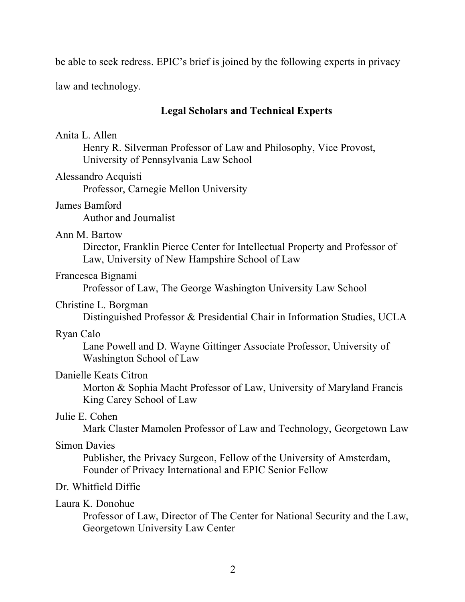be able to seek redress. EPIC's brief is joined by the following experts in privacy

law and technology.

## **Legal Scholars and Technical Experts**

## Anita L. Allen

Henry R. Silverman Professor of Law and Philosophy, Vice Provost, University of Pennsylvania Law School

#### Alessandro Acquisti

Professor, Carnegie Mellon University

#### James Bamford

Author and Journalist

#### Ann M. Bartow

Director, Franklin Pierce Center for Intellectual Property and Professor of Law, University of New Hampshire School of Law

#### Francesca Bignami

Professor of Law, The George Washington University Law School

### Christine L. Borgman

Distinguished Professor & Presidential Chair in Information Studies, UCLA

#### Ryan Calo

Lane Powell and D. Wayne Gittinger Associate Professor, University of Washington School of Law

## Danielle Keats Citron

Morton & Sophia Macht Professor of Law, University of Maryland Francis King Carey School of Law

### Julie E. Cohen

Mark Claster Mamolen Professor of Law and Technology, Georgetown Law

### Simon Davies

Publisher, the Privacy Surgeon, Fellow of the University of Amsterdam, Founder of Privacy International and EPIC Senior Fellow

### Dr. Whitfield Diffie

### Laura K. Donohue

Professor of Law, Director of The Center for National Security and the Law, Georgetown University Law Center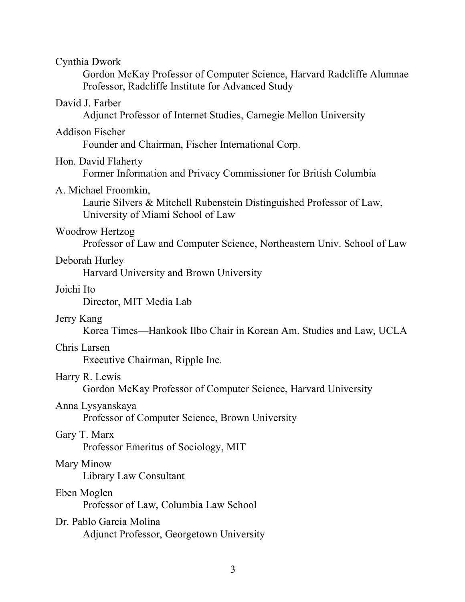| Cynthia Dwork                                                                                                                     |
|-----------------------------------------------------------------------------------------------------------------------------------|
| Gordon McKay Professor of Computer Science, Harvard Radcliffe Alumnae<br>Professor, Radcliffe Institute for Advanced Study        |
| David J. Farber<br>Adjunct Professor of Internet Studies, Carnegie Mellon University                                              |
| <b>Addison Fischer</b><br>Founder and Chairman, Fischer International Corp.                                                       |
| Hon. David Flaherty<br>Former Information and Privacy Commissioner for British Columbia                                           |
| A. Michael Froomkin,<br>Laurie Silvers & Mitchell Rubenstein Distinguished Professor of Law,<br>University of Miami School of Law |
| Woodrow Hertzog<br>Professor of Law and Computer Science, Northeastern Univ. School of Law                                        |
| Deborah Hurley<br>Harvard University and Brown University                                                                         |
| Joichi Ito<br>Director, MIT Media Lab                                                                                             |
| Jerry Kang<br>Korea Times—Hankook Ilbo Chair in Korean Am. Studies and Law, UCLA                                                  |
| Chris Larsen<br>Executive Chairman, Ripple Inc.                                                                                   |
| Harry R. Lewis<br>Gordon McKay Professor of Computer Science, Harvard University                                                  |
| Anna Lysyanskaya<br>Professor of Computer Science, Brown University                                                               |
| Gary T. Marx<br>Professor Emeritus of Sociology, MIT                                                                              |
| Mary Minow<br>Library Law Consultant                                                                                              |
| Eben Moglen<br>Professor of Law, Columbia Law School                                                                              |
| Dr. Pablo Garcia Molina<br>Adjunct Professor, Georgetown University                                                               |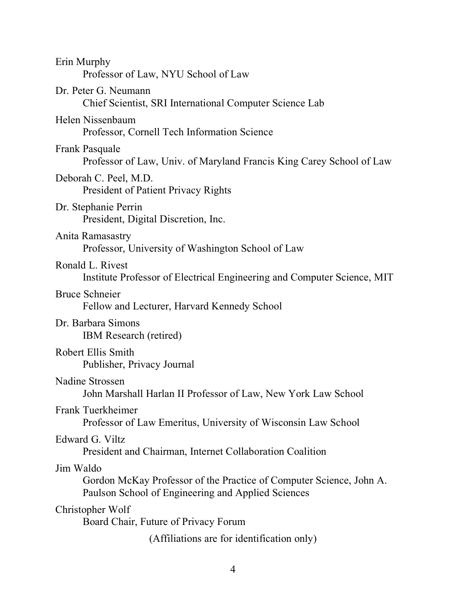| Erin Murphy<br>Professor of Law, NYU School of Law                                                                                     |
|----------------------------------------------------------------------------------------------------------------------------------------|
| Dr. Peter G. Neumann<br>Chief Scientist, SRI International Computer Science Lab                                                        |
| Helen Nissenbaum<br>Professor, Cornell Tech Information Science                                                                        |
| Frank Pasquale<br>Professor of Law, Univ. of Maryland Francis King Carey School of Law                                                 |
| Deborah C. Peel, M.D.<br>President of Patient Privacy Rights                                                                           |
| Dr. Stephanie Perrin<br>President, Digital Discretion, Inc.                                                                            |
| Anita Ramasastry<br>Professor, University of Washington School of Law                                                                  |
| Ronald L. Rivest<br>Institute Professor of Electrical Engineering and Computer Science, MIT                                            |
| <b>Bruce Schneier</b><br>Fellow and Lecturer, Harvard Kennedy School                                                                   |
| Dr. Barbara Simons<br>IBM Research (retired)                                                                                           |
| Robert Ellis Smith<br>Publisher, Privacy Journal                                                                                       |
| Nadine Strossen<br>John Marshall Harlan II Professor of Law, New York Law School                                                       |
| Frank Tuerkheimer<br>Professor of Law Emeritus, University of Wisconsin Law School                                                     |
| Edward G. Viltz<br>President and Chairman, Internet Collaboration Coalition                                                            |
| Jim Waldo<br>Gordon McKay Professor of the Practice of Computer Science, John A.<br>Paulson School of Engineering and Applied Sciences |
| Christopher Wolf<br>Board Chair, Future of Privacy Forum                                                                               |
| (Affiliations are for identification only)                                                                                             |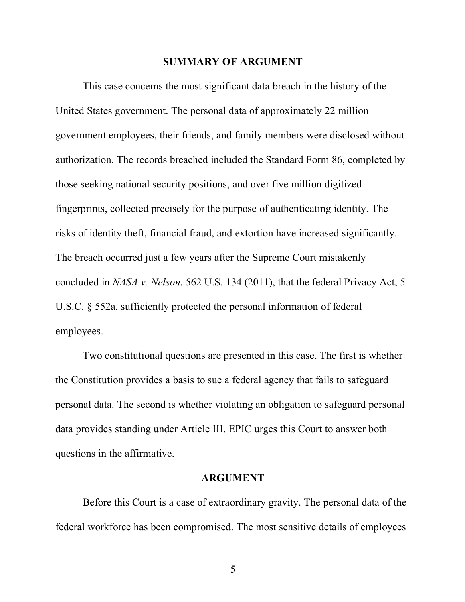#### **SUMMARY OF ARGUMENT**

This case concerns the most significant data breach in the history of the United States government. The personal data of approximately 22 million government employees, their friends, and family members were disclosed without authorization. The records breached included the Standard Form 86, completed by those seeking national security positions, and over five million digitized fingerprints, collected precisely for the purpose of authenticating identity. The risks of identity theft, financial fraud, and extortion have increased significantly. The breach occurred just a few years after the Supreme Court mistakenly concluded in *NASA v. Nelson*, 562 U.S. 134 (2011), that the federal Privacy Act, 5 U.S.C. § 552a, sufficiently protected the personal information of federal employees.

Two constitutional questions are presented in this case. The first is whether the Constitution provides a basis to sue a federal agency that fails to safeguard personal data. The second is whether violating an obligation to safeguard personal data provides standing under Article III. EPIC urges this Court to answer both questions in the affirmative.

#### **ARGUMENT**

Before this Court is a case of extraordinary gravity. The personal data of the federal workforce has been compromised. The most sensitive details of employees

5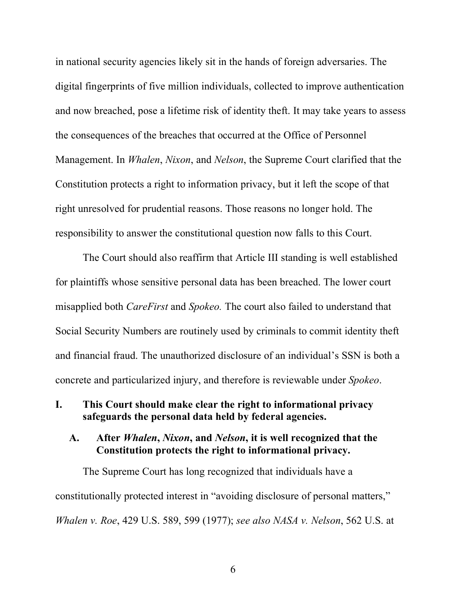in national security agencies likely sit in the hands of foreign adversaries. The digital fingerprints of five million individuals, collected to improve authentication and now breached, pose a lifetime risk of identity theft. It may take years to assess the consequences of the breaches that occurred at the Office of Personnel Management. In *Whalen*, *Nixon*, and *Nelson*, the Supreme Court clarified that the Constitution protects a right to information privacy, but it left the scope of that right unresolved for prudential reasons. Those reasons no longer hold. The responsibility to answer the constitutional question now falls to this Court.

The Court should also reaffirm that Article III standing is well established for plaintiffs whose sensitive personal data has been breached. The lower court misapplied both *CareFirst* and *Spokeo.* The court also failed to understand that Social Security Numbers are routinely used by criminals to commit identity theft and financial fraud. The unauthorized disclosure of an individual's SSN is both a concrete and particularized injury, and therefore is reviewable under *Spokeo*.

## **I. This Court should make clear the right to informational privacy safeguards the personal data held by federal agencies.**

### **A. After** *Whalen***,** *Nixon***, and** *Nelson***, it is well recognized that the Constitution protects the right to informational privacy.**

The Supreme Court has long recognized that individuals have a constitutionally protected interest in "avoiding disclosure of personal matters," *Whalen v. Roe*, 429 U.S. 589, 599 (1977); *see also NASA v. Nelson*, 562 U.S. at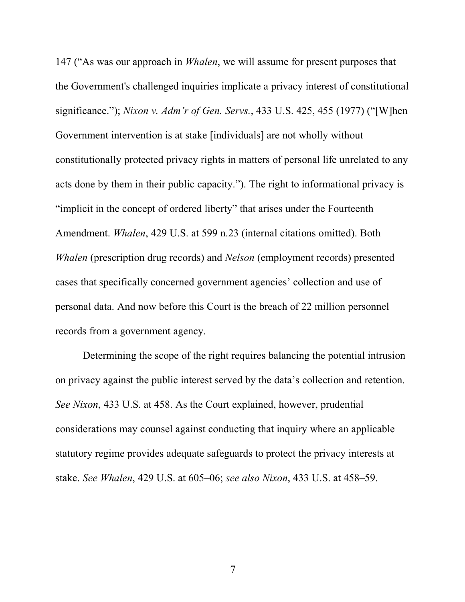147 ("As was our approach in *Whalen*, we will assume for present purposes that the Government's challenged inquiries implicate a privacy interest of constitutional significance."); *Nixon v. Adm'r of Gen. Servs.*, 433 U.S. 425, 455 (1977) ("[W]hen Government intervention is at stake [individuals] are not wholly without constitutionally protected privacy rights in matters of personal life unrelated to any acts done by them in their public capacity."). The right to informational privacy is "implicit in the concept of ordered liberty" that arises under the Fourteenth Amendment. *Whalen*, 429 U.S. at 599 n.23 (internal citations omitted). Both *Whalen* (prescription drug records) and *Nelson* (employment records) presented cases that specifically concerned government agencies' collection and use of personal data. And now before this Court is the breach of 22 million personnel records from a government agency.

Determining the scope of the right requires balancing the potential intrusion on privacy against the public interest served by the data's collection and retention. *See Nixon*, 433 U.S. at 458. As the Court explained, however, prudential considerations may counsel against conducting that inquiry where an applicable statutory regime provides adequate safeguards to protect the privacy interests at stake. *See Whalen*, 429 U.S. at 605–06; *see also Nixon*, 433 U.S. at 458–59.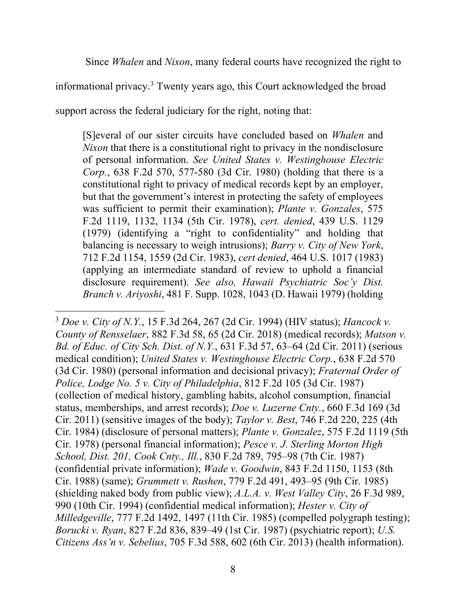Since *Whalen* and *Nixon*, many federal courts have recognized the right to

informational privacy.<sup>3</sup> Twenty years ago, this Court acknowledged the broad

support across the federal judiciary for the right, noting that:

[S]everal of our sister circuits have concluded based on *Whalen* and *Nixon* that there is a constitutional right to privacy in the nondisclosure of personal information. *See United States v. Westinghouse Electric Corp.*, 638 F.2d 570, 577-580 (3d Cir. 1980) (holding that there is a constitutional right to privacy of medical records kept by an employer, but that the government's interest in protecting the safety of employees was sufficient to permit their examination); *Plante v. Gonzales*, 575 F.2d 1119, 1132, 1134 (5th Cir. 1978), *cert. denied*, 439 U.S. 1129 (1979) (identifying a "right to confidentiality" and holding that balancing is necessary to weigh intrusions); *Barry v. City of New York*, 712 F.2d 1154, 1559 (2d Cir. 1983), *cert denied*, 464 U.S. 1017 (1983) (applying an intermediate standard of review to uphold a financial disclosure requirement). *See also, Hawaii Psychiatric Soc'y Dist. Branch v. Ariyoshi*, 481 F. Supp. 1028, 1043 (D. Hawaii 1979) (holding

 <sup>3</sup> *Doe v. City of N.Y.*, 15 F.3d 264, 267 (2d Cir. 1994) (HIV status); *Hancock v. County of Rensselaer*, 882 F.3d 58, 65 (2d Cir. 2018) (medical records); *Matson v. Bd. of Educ. of City Sch. Dist. of N.Y.*, 631 F.3d 57, 63–64 (2d Cir. 2011) (serious medical condition); *United States v. Westinghouse Electric Corp.*, 638 F.2d 570 (3d Cir. 1980) (personal information and decisional privacy); *Fraternal Order of Police, Lodge No. 5 v. City of Philadelphia*, 812 F.2d 105 (3d Cir. 1987) (collection of medical history, gambling habits, alcohol consumption, financial status, memberships, and arrest records); *Doe v. Luzerne Cnty.*, 660 F.3d 169 (3d Cir. 2011) (sensitive images of the body); *Taylor v. Best*, 746 F.2d 220, 225 (4th Cir. 1984) (disclosure of personal matters); *Plante v. Gonzalez*, 575 F.2d 1119 (5th Cir. 1978) (personal financial information); *Pesce v. J. Sterling Morton High School, Dist. 201, Cook Cnty., Ill.*, 830 F.2d 789, 795–98 (7th Cir. 1987) (confidential private information); *Wade v. Goodwin*, 843 F.2d 1150, 1153 (8th Cir. 1988) (same); *Grummett v. Rushen*, 779 F.2d 491, 493–95 (9th Cir. 1985) (shielding naked body from public view); *A.L.A. v. West Valley City*, 26 F.3d 989, 990 (10th Cir. 1994) (confidential medical information); *Hester v. City of Milledgeville*, 777 F.2d 1492, 1497 (11th Cir. 1985) (compelled polygraph testing); *Borucki v. Ryan*, 827 F.2d 836, 839–49 (1st Cir. 1987) (psychiatric report); *U.S. Citizens Ass'n v. Sebelius*, 705 F.3d 588, 602 (6th Cir. 2013) (health information).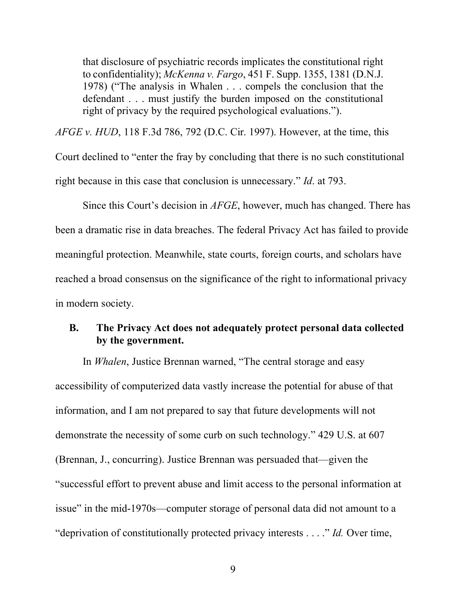that disclosure of psychiatric records implicates the constitutional right to confidentiality); *McKenna v. Fargo*, 451 F. Supp. 1355, 1381 (D.N.J. 1978) ("The analysis in Whalen . . . compels the conclusion that the defendant . . . must justify the burden imposed on the constitutional right of privacy by the required psychological evaluations.").

*AFGE v. HUD*, 118 F.3d 786, 792 (D.C. Cir. 1997). However, at the time, this Court declined to "enter the fray by concluding that there is no such constitutional right because in this case that conclusion is unnecessary." *Id*. at 793.

Since this Court's decision in *AFGE*, however, much has changed. There has been a dramatic rise in data breaches. The federal Privacy Act has failed to provide meaningful protection. Meanwhile, state courts, foreign courts, and scholars have reached a broad consensus on the significance of the right to informational privacy in modern society.

## **B. The Privacy Act does not adequately protect personal data collected by the government.**

In *Whalen*, Justice Brennan warned, "The central storage and easy accessibility of computerized data vastly increase the potential for abuse of that information, and I am not prepared to say that future developments will not demonstrate the necessity of some curb on such technology." 429 U.S. at 607 (Brennan, J., concurring). Justice Brennan was persuaded that—given the "successful effort to prevent abuse and limit access to the personal information at issue" in the mid-1970s—computer storage of personal data did not amount to a "deprivation of constitutionally protected privacy interests . . . ." *Id.* Over time,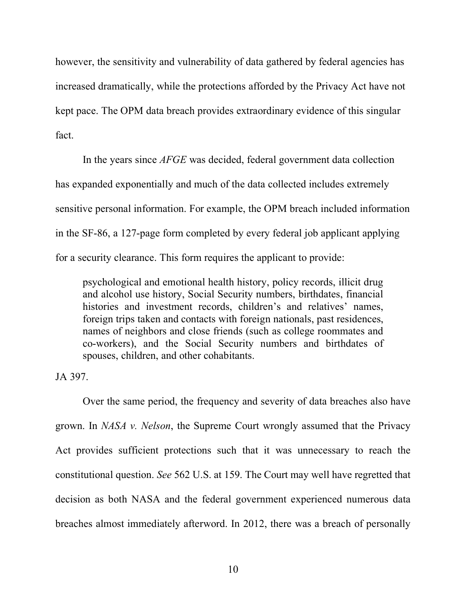however, the sensitivity and vulnerability of data gathered by federal agencies has increased dramatically, while the protections afforded by the Privacy Act have not kept pace. The OPM data breach provides extraordinary evidence of this singular fact.

In the years since *AFGE* was decided, federal government data collection has expanded exponentially and much of the data collected includes extremely sensitive personal information. For example, the OPM breach included information in the SF-86, a 127-page form completed by every federal job applicant applying for a security clearance. This form requires the applicant to provide:

psychological and emotional health history, policy records, illicit drug and alcohol use history, Social Security numbers, birthdates, financial histories and investment records, children's and relatives' names, foreign trips taken and contacts with foreign nationals, past residences, names of neighbors and close friends (such as college roommates and co-workers), and the Social Security numbers and birthdates of spouses, children, and other cohabitants.

JA 397.

Over the same period, the frequency and severity of data breaches also have grown. In *NASA v. Nelson*, the Supreme Court wrongly assumed that the Privacy Act provides sufficient protections such that it was unnecessary to reach the constitutional question. *See* 562 U.S. at 159. The Court may well have regretted that decision as both NASA and the federal government experienced numerous data breaches almost immediately afterword. In 2012, there was a breach of personally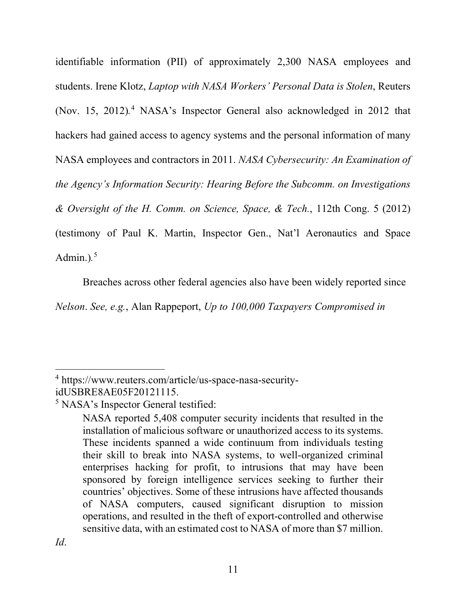identifiable information (PII) of approximately 2,300 NASA employees and students. Irene Klotz, *Laptop with NASA Workers' Personal Data is Stolen*, Reuters (Nov. 15, 2012)*.* <sup>4</sup> NASA's Inspector General also acknowledged in 2012 that hackers had gained access to agency systems and the personal information of many NASA employees and contractors in 2011. *NASA Cybersecurity: An Examination of the Agency's Information Security: Hearing Before the Subcomm. on Investigations & Oversight of the H. Comm. on Science, Space, & Tech.*, 112th Cong. 5 (2012) (testimony of Paul K. Martin, Inspector Gen., Nat'l Aeronautics and Space Admin.)*.* 5

Breaches across other federal agencies also have been widely reported since

*Nelson*. *See, e.g.*, Alan Rappeport, *Up to 100,000 Taxpayers Compromised in* 

 <sup>4</sup> https://www.reuters.com/article/us-space-nasa-securityidUSBRE8AE05F20121115.

<sup>5</sup> NASA's Inspector General testified:

NASA reported 5,408 computer security incidents that resulted in the installation of malicious software or unauthorized access to its systems. These incidents spanned a wide continuum from individuals testing their skill to break into NASA systems, to well-organized criminal enterprises hacking for profit, to intrusions that may have been sponsored by foreign intelligence services seeking to further their countries' objectives. Some of these intrusions have affected thousands of NASA computers, caused significant disruption to mission operations, and resulted in the theft of export-controlled and otherwise sensitive data, with an estimated cost to NASA of more than \$7 million.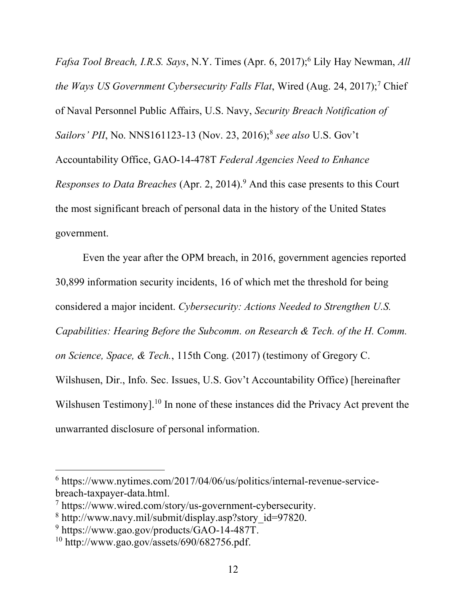*Fafsa Tool Breach, I.R.S. Says*, N.Y. Times (Apr. 6, 2017); <sup>6</sup> Lily Hay Newman, *All the Ways US Government Cybersecurity Falls Flat*, Wired (Aug. 24, 2017); <sup>7</sup> Chief of Naval Personnel Public Affairs, U.S. Navy, *Security Breach Notification of Sailors' PII*, No. NNS161123-13 (Nov. 23, 2016); <sup>8</sup> *see also* U.S. Gov't Accountability Office, GAO-14-478T *Federal Agencies Need to Enhance Responses to Data Breaches* (Apr. 2, 2014). <sup>9</sup> And this case presents to this Court the most significant breach of personal data in the history of the United States government.

Even the year after the OPM breach, in 2016, government agencies reported 30,899 information security incidents, 16 of which met the threshold for being considered a major incident. *Cybersecurity: Actions Needed to Strengthen U.S. Capabilities: Hearing Before the Subcomm. on Research & Tech. of the H. Comm. on Science, Space, & Tech.*, 115th Cong. (2017) (testimony of Gregory C. Wilshusen, Dir., Info. Sec. Issues, U.S. Gov't Accountability Office) [hereinafter Wilshusen Testimony].<sup>10</sup> In none of these instances did the Privacy Act prevent the unwarranted disclosure of personal information.

 $6$  https://www.nytimes.com/2017/04/06/us/politics/internal-revenue-servicebreach-taxpayer-data.html.

<sup>7</sup> https://www.wired.com/story/us-government-cybersecurity.

<sup>8</sup> http://www.navy.mil/submit/display.asp?story\_id=97820.

<sup>9</sup> https://www.gao.gov/products/GAO-14-487T.

<sup>10</sup> http://www.gao.gov/assets/690/682756.pdf.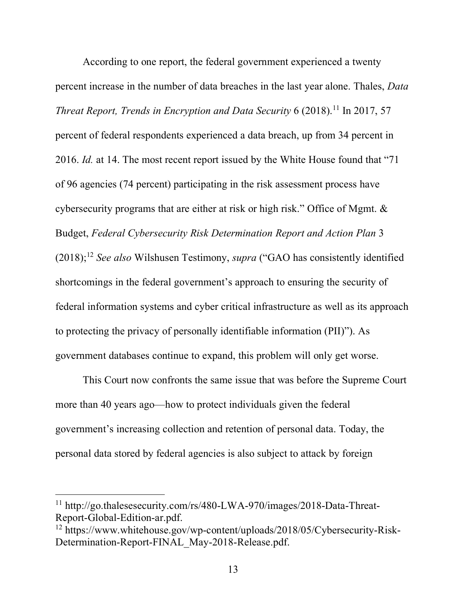According to one report, the federal government experienced a twenty percent increase in the number of data breaches in the last year alone. Thales, *Data Threat Report, Trends in Encryption and Data Security* 6 (2018). <sup>11</sup> In 2017, 57 percent of federal respondents experienced a data breach, up from 34 percent in 2016. *Id.* at 14. The most recent report issued by the White House found that "71 of 96 agencies (74 percent) participating in the risk assessment process have cybersecurity programs that are either at risk or high risk." Office of Mgmt. & Budget, *Federal Cybersecurity Risk Determination Report and Action Plan* 3 (2018); <sup>12</sup> *See also* Wilshusen Testimony, *supra* ("GAO has consistently identified shortcomings in the federal government's approach to ensuring the security of federal information systems and cyber critical infrastructure as well as its approach to protecting the privacy of personally identifiable information (PII)"). As government databases continue to expand, this problem will only get worse.

This Court now confronts the same issue that was before the Supreme Court more than 40 years ago—how to protect individuals given the federal government's increasing collection and retention of personal data. Today, the personal data stored by federal agencies is also subject to attack by foreign

<sup>&</sup>lt;sup>11</sup> http://go.thalesesecurity.com/rs/480-LWA-970/images/2018-Data-Threat-Report-Global-Edition-ar.pdf.

<sup>12</sup> https://www.whitehouse.gov/wp-content/uploads/2018/05/Cybersecurity-Risk-Determination-Report-FINAL\_May-2018-Release.pdf.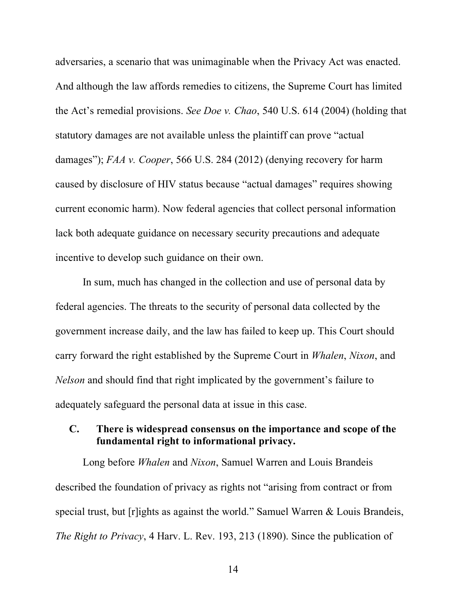adversaries, a scenario that was unimaginable when the Privacy Act was enacted. And although the law affords remedies to citizens, the Supreme Court has limited the Act's remedial provisions. *See Doe v. Chao*, 540 U.S. 614 (2004) (holding that statutory damages are not available unless the plaintiff can prove "actual damages"); *FAA v. Cooper*, 566 U.S. 284 (2012) (denying recovery for harm caused by disclosure of HIV status because "actual damages" requires showing current economic harm). Now federal agencies that collect personal information lack both adequate guidance on necessary security precautions and adequate incentive to develop such guidance on their own.

In sum, much has changed in the collection and use of personal data by federal agencies. The threats to the security of personal data collected by the government increase daily, and the law has failed to keep up. This Court should carry forward the right established by the Supreme Court in *Whalen*, *Nixon*, and *Nelson* and should find that right implicated by the government's failure to adequately safeguard the personal data at issue in this case.

## **C. There is widespread consensus on the importance and scope of the fundamental right to informational privacy.**

Long before *Whalen* and *Nixon*, Samuel Warren and Louis Brandeis described the foundation of privacy as rights not "arising from contract or from special trust, but [r]ights as against the world." Samuel Warren & Louis Brandeis, *The Right to Privacy*, 4 Harv. L. Rev. 193, 213 (1890). Since the publication of

14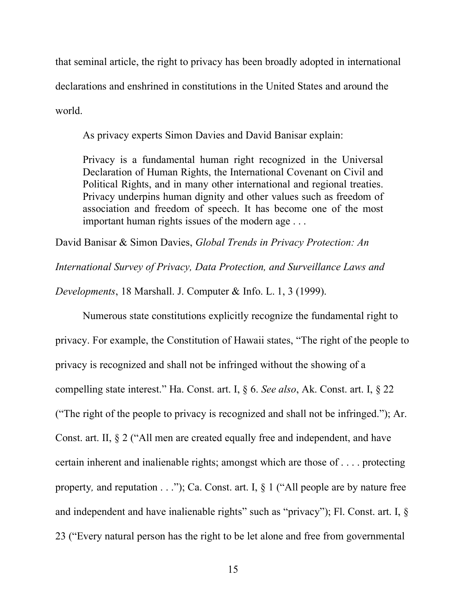that seminal article, the right to privacy has been broadly adopted in international declarations and enshrined in constitutions in the United States and around the world.

As privacy experts Simon Davies and David Banisar explain:

Privacy is a fundamental human right recognized in the Universal Declaration of Human Rights, the International Covenant on Civil and Political Rights, and in many other international and regional treaties. Privacy underpins human dignity and other values such as freedom of association and freedom of speech. It has become one of the most important human rights issues of the modern age . . .

David Banisar & Simon Davies, *Global Trends in Privacy Protection: An* 

*International Survey of Privacy, Data Protection, and Surveillance Laws and* 

*Developments*, 18 Marshall. J. Computer & Info. L. 1, 3 (1999).

Numerous state constitutions explicitly recognize the fundamental right to privacy. For example, the Constitution of Hawaii states, "The right of the people to privacy is recognized and shall not be infringed without the showing of a compelling state interest." Ha. Const. art. I, § 6. *See also*, Ak. Const. art. I, § 22 ("The right of the people to privacy is recognized and shall not be infringed."); Ar. Const. art. II, § 2 ("All men are created equally free and independent, and have certain inherent and inalienable rights; amongst which are those of . . . . protecting property*,* and reputation . . ."); Ca. Const. art. I, § 1 ("All people are by nature free and independent and have inalienable rights" such as "privacy"); Fl. Const. art. I, § 23 ("Every natural person has the right to be let alone and free from governmental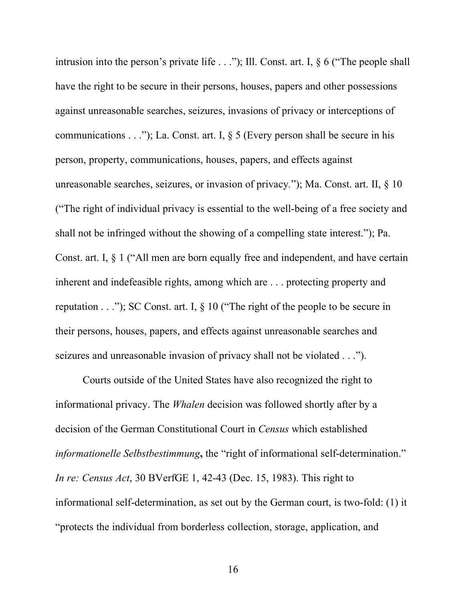intrusion into the person's private life . . ."); Ill. Const. art. I, § 6 ("The people shall have the right to be secure in their persons, houses, papers and other possessions against unreasonable searches, seizures, invasions of privacy or interceptions of communications  $\dots$ "); La. Const. art. I, § 5 (Every person shall be secure in his person, property, communications, houses, papers, and effects against unreasonable searches, seizures, or invasion of privacy*.*"); Ma. Const. art. II, § 10 ("The right of individual privacy is essential to the well-being of a free society and shall not be infringed without the showing of a compelling state interest."); Pa. Const. art. I, § 1 ("All men are born equally free and independent, and have certain inherent and indefeasible rights, among which are . . . protecting property and reputation  $\ldots$ "); SC Const. art. I, § 10 ("The right of the people to be secure in their persons, houses, papers, and effects against unreasonable searches and seizures and unreasonable invasion of privacy shall not be violated . . .").

Courts outside of the United States have also recognized the right to informational privacy. The *Whalen* decision was followed shortly after by a decision of the German Constitutional Court in *Census* which established *informationelle Selbstbestimmung*, the "right of informational self-determination." *In re: Census Act*, 30 BVerfGE 1, 42-43 (Dec. 15, 1983). This right to informational self-determination, as set out by the German court, is two-fold: (1) it "protects the individual from borderless collection, storage, application, and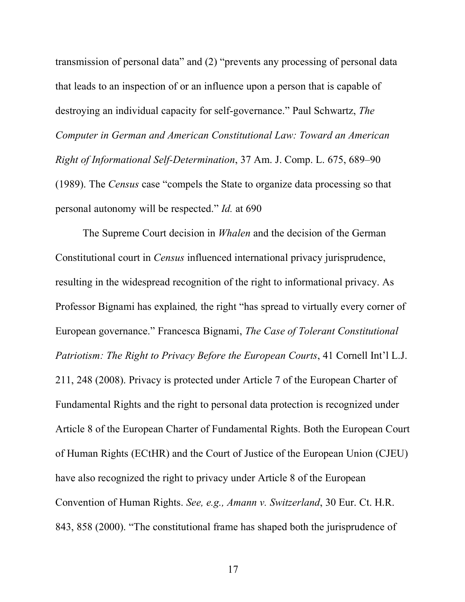transmission of personal data" and (2) "prevents any processing of personal data that leads to an inspection of or an influence upon a person that is capable of destroying an individual capacity for self-governance." Paul Schwartz, *The Computer in German and American Constitutional Law: Toward an American Right of Informational Self-Determination*, 37 Am. J. Comp. L. 675, 689–90 (1989). The *Census* case "compels the State to organize data processing so that personal autonomy will be respected." *Id.* at 690

The Supreme Court decision in *Whalen* and the decision of the German Constitutional court in *Census* influenced international privacy jurisprudence, resulting in the widespread recognition of the right to informational privacy. As Professor Bignami has explained*,* the right "has spread to virtually every corner of European governance." Francesca Bignami, *The Case of Tolerant Constitutional Patriotism: The Right to Privacy Before the European Courts*, 41 Cornell Int'l L.J. 211, 248 (2008). Privacy is protected under Article 7 of the European Charter of Fundamental Rights and the right to personal data protection is recognized under Article 8 of the European Charter of Fundamental Rights. Both the European Court of Human Rights (ECtHR) and the Court of Justice of the European Union (CJEU) have also recognized the right to privacy under Article 8 of the European Convention of Human Rights. *See, e.g., Amann v. Switzerland*, 30 Eur. Ct. H.R. 843, 858 (2000). "The constitutional frame has shaped both the jurisprudence of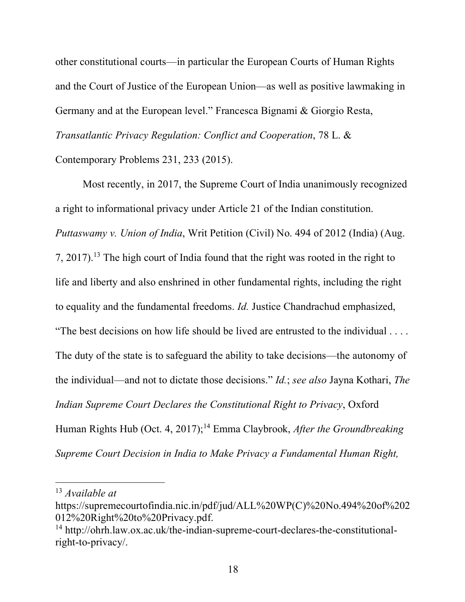other constitutional courts—in particular the European Courts of Human Rights and the Court of Justice of the European Union—as well as positive lawmaking in Germany and at the European level." Francesca Bignami & Giorgio Resta, *Transatlantic Privacy Regulation: Conflict and Cooperation*, 78 L. & Contemporary Problems 231, 233 (2015).

Most recently, in 2017, the Supreme Court of India unanimously recognized a right to informational privacy under Article 21 of the Indian constitution. *Puttaswamy v. Union of India*, Writ Petition (Civil) No. 494 of 2012 (India) (Aug. 7, 2017). <sup>13</sup> The high court of India found that the right was rooted in the right to life and liberty and also enshrined in other fundamental rights, including the right to equality and the fundamental freedoms. *Id.* Justice Chandrachud emphasized, "The best decisions on how life should be lived are entrusted to the individual . . . . The duty of the state is to safeguard the ability to take decisions—the autonomy of the individual—and not to dictate those decisions." *Id.*; *see also* Jayna Kothari, *The Indian Supreme Court Declares the Constitutional Right to Privacy*, Oxford Human Rights Hub (Oct. 4, 2017); <sup>14</sup> Emma Claybrook, *After the Groundbreaking Supreme Court Decision in India to Make Privacy a Fundamental Human Right,* 

 <sup>13</sup> *Available at*

https://supremecourtofindia.nic.in/pdf/jud/ALL%20WP(C)%20No.494%20of%202 012%20Right%20to%20Privacy.pdf.

<sup>14</sup> http://ohrh.law.ox.ac.uk/the-indian-supreme-court-declares-the-constitutionalright-to-privacy/.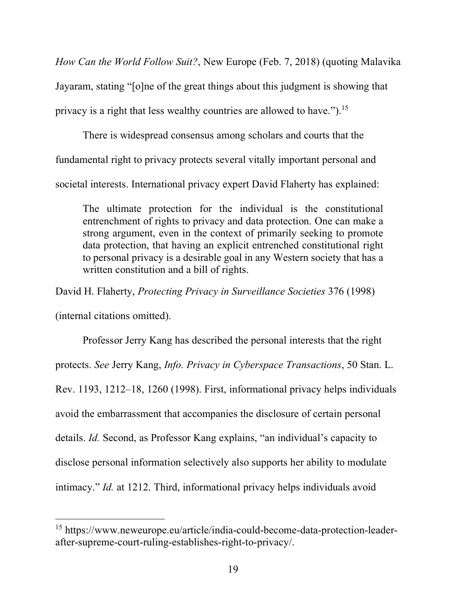*How Can the World Follow Suit?*, New Europe (Feb. 7, 2018) (quoting Malavika Jayaram, stating "[o]ne of the great things about this judgment is showing that privacy is a right that less wealthy countries are allowed to have.").<sup>15</sup>

There is widespread consensus among scholars and courts that the

fundamental right to privacy protects several vitally important personal and

societal interests. International privacy expert David Flaherty has explained:

The ultimate protection for the individual is the constitutional entrenchment of rights to privacy and data protection. One can make a strong argument, even in the context of primarily seeking to promote data protection, that having an explicit entrenched constitutional right to personal privacy is a desirable goal in any Western society that has a written constitution and a bill of rights.

David H. Flaherty, *Protecting Privacy in Surveillance Societies* 376 (1998)

(internal citations omitted).

Professor Jerry Kang has described the personal interests that the right protects. *See* Jerry Kang, *Info. Privacy in Cyberspace Transactions*, 50 Stan. L. Rev. 1193, 1212–18, 1260 (1998). First, informational privacy helps individuals avoid the embarrassment that accompanies the disclosure of certain personal details. *Id.* Second, as Professor Kang explains, "an individual's capacity to disclose personal information selectively also supports her ability to modulate intimacy." *Id.* at 1212. Third, informational privacy helps individuals avoid

 <sup>15</sup> https://www.neweurope.eu/article/india-could-become-data-protection-leaderafter-supreme-court-ruling-establishes-right-to-privacy/.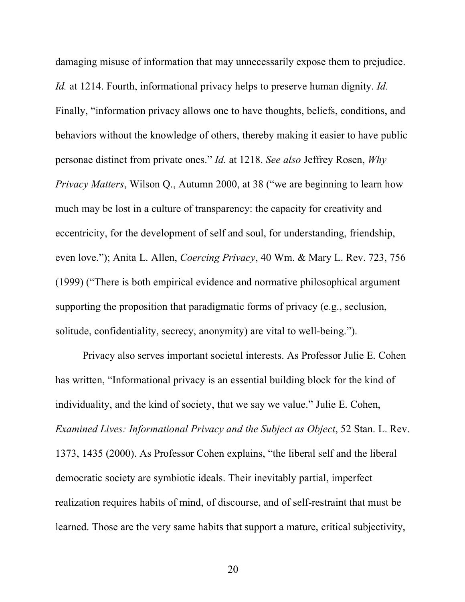damaging misuse of information that may unnecessarily expose them to prejudice. *Id.* at 1214. Fourth, informational privacy helps to preserve human dignity. *Id.* Finally, "information privacy allows one to have thoughts, beliefs, conditions, and behaviors without the knowledge of others, thereby making it easier to have public personae distinct from private ones." *Id.* at 1218. *See also* Jeffrey Rosen, *Why Privacy Matters*, Wilson Q., Autumn 2000, at 38 ("we are beginning to learn how much may be lost in a culture of transparency: the capacity for creativity and eccentricity, for the development of self and soul, for understanding, friendship, even love."); Anita L. Allen, *Coercing Privacy*, 40 Wm. & Mary L. Rev. 723, 756 (1999) ("There is both empirical evidence and normative philosophical argument supporting the proposition that paradigmatic forms of privacy (e.g., seclusion, solitude, confidentiality, secrecy, anonymity) are vital to well-being.").

Privacy also serves important societal interests. As Professor Julie E. Cohen has written, "Informational privacy is an essential building block for the kind of individuality, and the kind of society, that we say we value." Julie E. Cohen, *Examined Lives: Informational Privacy and the Subject as Object*, 52 Stan. L. Rev. 1373, 1435 (2000). As Professor Cohen explains, "the liberal self and the liberal democratic society are symbiotic ideals. Their inevitably partial, imperfect realization requires habits of mind, of discourse, and of self-restraint that must be learned. Those are the very same habits that support a mature, critical subjectivity,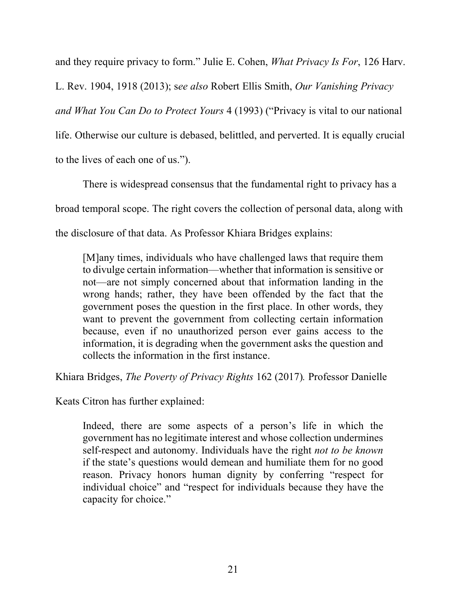and they require privacy to form." Julie E. Cohen, *What Privacy Is For*, 126 Harv.

L. Rev. 1904, 1918 (2013); s*ee also* Robert Ellis Smith, *Our Vanishing Privacy and What You Can Do to Protect Yours* 4 (1993) ("Privacy is vital to our national life. Otherwise our culture is debased, belittled, and perverted. It is equally crucial to the lives of each one of us.").

There is widespread consensus that the fundamental right to privacy has a broad temporal scope. The right covers the collection of personal data, along with the disclosure of that data. As Professor Khiara Bridges explains:

[M]any times, individuals who have challenged laws that require them to divulge certain information—whether that information is sensitive or not—are not simply concerned about that information landing in the wrong hands; rather, they have been offended by the fact that the government poses the question in the first place. In other words, they want to prevent the government from collecting certain information because, even if no unauthorized person ever gains access to the information, it is degrading when the government asks the question and collects the information in the first instance.

Khiara Bridges, *The Poverty of Privacy Rights* 162 (2017)*.* Professor Danielle

Keats Citron has further explained:

Indeed, there are some aspects of a person's life in which the government has no legitimate interest and whose collection undermines self-respect and autonomy. Individuals have the right *not to be known* if the state's questions would demean and humiliate them for no good reason. Privacy honors human dignity by conferring "respect for individual choice" and "respect for individuals because they have the capacity for choice."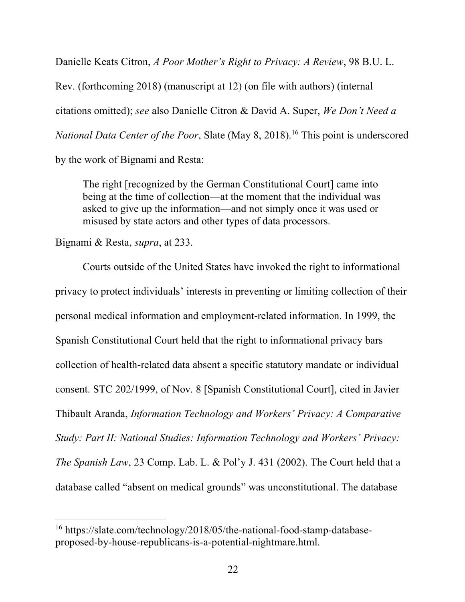Danielle Keats Citron, *A Poor Mother's Right to Privacy: A Review*, 98 B.U. L.

Rev. (forthcoming 2018) (manuscript at 12) (on file with authors) (internal citations omitted); *see* also Danielle Citron & David A. Super, *We Don't Need a National Data Center of the Poor*, Slate (May 8, 2018). <sup>16</sup> This point is underscored

by the work of Bignami and Resta:

The right [recognized by the German Constitutional Court] came into being at the time of collection—at the moment that the individual was asked to give up the information—and not simply once it was used or misused by state actors and other types of data processors.

Bignami & Resta, *supra*, at 233.

Courts outside of the United States have invoked the right to informational privacy to protect individuals' interests in preventing or limiting collection of their personal medical information and employment-related information. In 1999, the Spanish Constitutional Court held that the right to informational privacy bars collection of health-related data absent a specific statutory mandate or individual consent. STC 202/1999, of Nov. 8 [Spanish Constitutional Court], cited in Javier Thibault Aranda, *Information Technology and Workers' Privacy: A Comparative Study: Part II: National Studies: Information Technology and Workers' Privacy: The Spanish Law*, 23 Comp. Lab. L. & Pol'y J. 431 (2002). The Court held that a database called "absent on medical grounds" was unconstitutional. The database

 <sup>16</sup> https://slate.com/technology/2018/05/the-national-food-stamp-databaseproposed-by-house-republicans-is-a-potential-nightmare.html.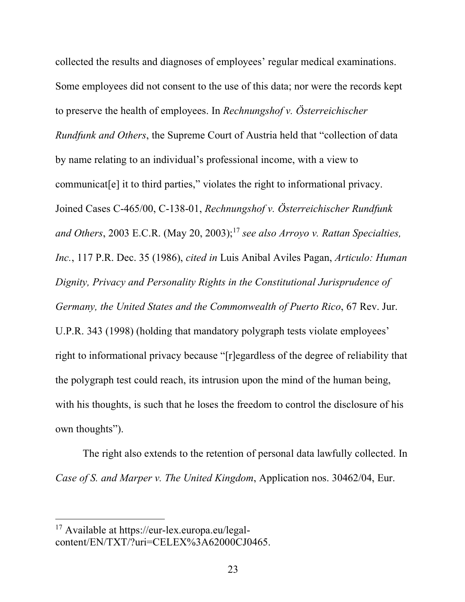collected the results and diagnoses of employees' regular medical examinations. Some employees did not consent to the use of this data; nor were the records kept to preserve the health of employees. In *Rechnungshof v. Österreichischer Rundfunk and Others*, the Supreme Court of Austria held that "collection of data by name relating to an individual's professional income, with a view to communicat[e] it to third parties," violates the right to informational privacy. Joined Cases C-465/00, C-138-01, *Rechnungshof v. Österreichischer Rundfunk and Others*, 2003 E.C.R. (May 20, 2003); <sup>17</sup> *see also Arroyo v. Rattan Specialties, Inc.*, 117 P.R. Dec. 35 (1986), *cited in* Luis Anibal Aviles Pagan, *Articulo: Human Dignity, Privacy and Personality Rights in the Constitutional Jurisprudence of Germany, the United States and the Commonwealth of Puerto Rico*, 67 Rev. Jur. U.P.R. 343 (1998) (holding that mandatory polygraph tests violate employees' right to informational privacy because "[r]egardless of the degree of reliability that the polygraph test could reach, its intrusion upon the mind of the human being, with his thoughts, is such that he loses the freedom to control the disclosure of his own thoughts").

The right also extends to the retention of personal data lawfully collected. In *Case of S. and Marper v. The United Kingdom*, Application nos. 30462/04, Eur.

 <sup>17</sup> Available at https://eur-lex.europa.eu/legalcontent/EN/TXT/?uri=CELEX%3A62000CJ0465.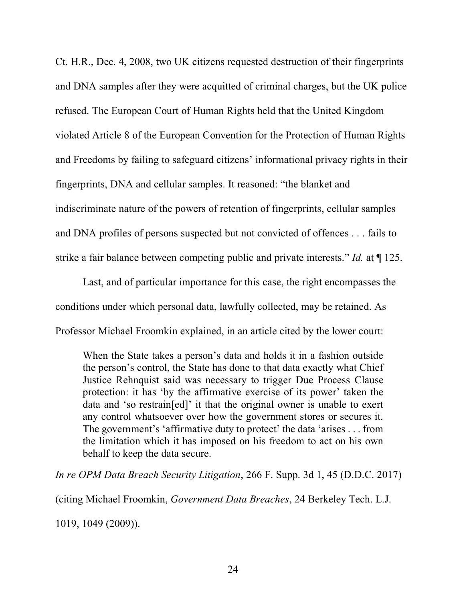Ct. H.R., Dec. 4, 2008, two UK citizens requested destruction of their fingerprints and DNA samples after they were acquitted of criminal charges, but the UK police refused. The European Court of Human Rights held that the United Kingdom violated Article 8 of the European Convention for the Protection of Human Rights and Freedoms by failing to safeguard citizens' informational privacy rights in their fingerprints, DNA and cellular samples. It reasoned: "the blanket and indiscriminate nature of the powers of retention of fingerprints, cellular samples and DNA profiles of persons suspected but not convicted of offences . . . fails to strike a fair balance between competing public and private interests." *Id.* at ¶ 125.

Last, and of particular importance for this case, the right encompasses the conditions under which personal data, lawfully collected, may be retained. As Professor Michael Froomkin explained, in an article cited by the lower court:

When the State takes a person's data and holds it in a fashion outside the person's control, the State has done to that data exactly what Chief Justice Rehnquist said was necessary to trigger Due Process Clause protection: it has 'by the affirmative exercise of its power' taken the data and 'so restrain[ed]' it that the original owner is unable to exert any control whatsoever over how the government stores or secures it. The government's 'affirmative duty to protect' the data 'arises . . . from the limitation which it has imposed on his freedom to act on his own behalf to keep the data secure.

*In re OPM Data Breach Security Litigation*, 266 F. Supp. 3d 1, 45 (D.D.C. 2017)

(citing Michael Froomkin, *Government Data Breaches*, 24 Berkeley Tech. L.J.

1019, 1049 (2009)).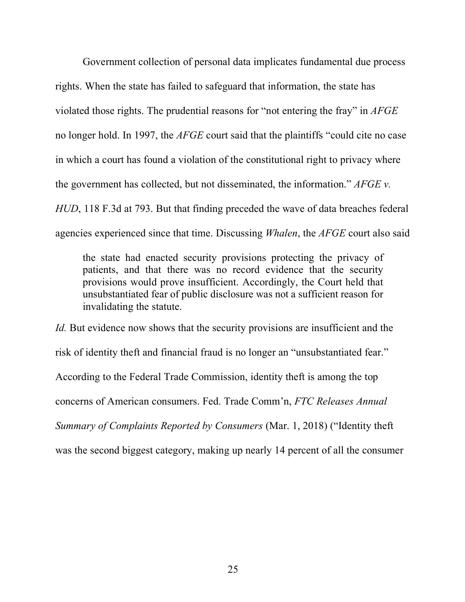Government collection of personal data implicates fundamental due process rights. When the state has failed to safeguard that information, the state has violated those rights. The prudential reasons for "not entering the fray" in *AFGE* no longer hold. In 1997, the *AFGE* court said that the plaintiffs "could cite no case in which a court has found a violation of the constitutional right to privacy where the government has collected, but not disseminated, the information." *AFGE v. HUD*, 118 F.3d at 793. But that finding preceded the wave of data breaches federal agencies experienced since that time. Discussing *Whalen*, the *AFGE* court also said

the state had enacted security provisions protecting the privacy of patients, and that there was no record evidence that the security provisions would prove insufficient. Accordingly, the Court held that unsubstantiated fear of public disclosure was not a sufficient reason for invalidating the statute.

*Id.* But evidence now shows that the security provisions are insufficient and the risk of identity theft and financial fraud is no longer an "unsubstantiated fear." According to the Federal Trade Commission, identity theft is among the top concerns of American consumers. Fed. Trade Comm'n, *FTC Releases Annual Summary of Complaints Reported by Consumers* (Mar. 1, 2018) ("Identity theft was the second biggest category, making up nearly 14 percent of all the consumer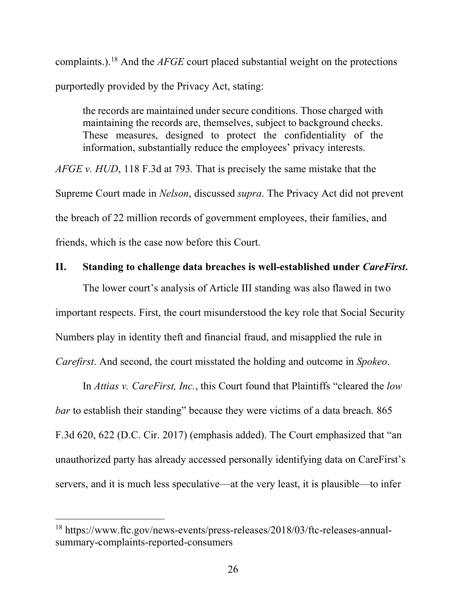complaints.). <sup>18</sup> And the *AFGE* court placed substantial weight on the protections purportedly provided by the Privacy Act, stating:

the records are maintained under secure conditions. Those charged with maintaining the records are, themselves, subject to background checks. These measures, designed to protect the confidentiality of the information, substantially reduce the employees' privacy interests.

*AFGE v. HUD*, 118 F.3d at 793*.* That is precisely the same mistake that the Supreme Court made in *Nelson*, discussed *supra*. The Privacy Act did not prevent the breach of 22 million records of government employees, their families, and friends, which is the case now before this Court.

#### **II. Standing to challenge data breaches is well-established under** *CareFirst***.**

The lower court's analysis of Article III standing was also flawed in two important respects. First, the court misunderstood the key role that Social Security Numbers play in identity theft and financial fraud, and misapplied the rule in *Carefirst*. And second, the court misstated the holding and outcome in *Spokeo*.

In *Attias v. CareFirst, Inc.*, this Court found that Plaintiffs "cleared the *low bar* to establish their standing" because they were victims of a data breach. 865 F.3d 620, 622 (D.C. Cir. 2017) (emphasis added). The Court emphasized that "an unauthorized party has already accessed personally identifying data on CareFirst's servers, and it is much less speculative—at the very least, it is plausible—to infer

 <sup>18</sup> https://www.ftc.gov/news-events/press-releases/2018/03/ftc-releases-annualsummary-complaints-reported-consumers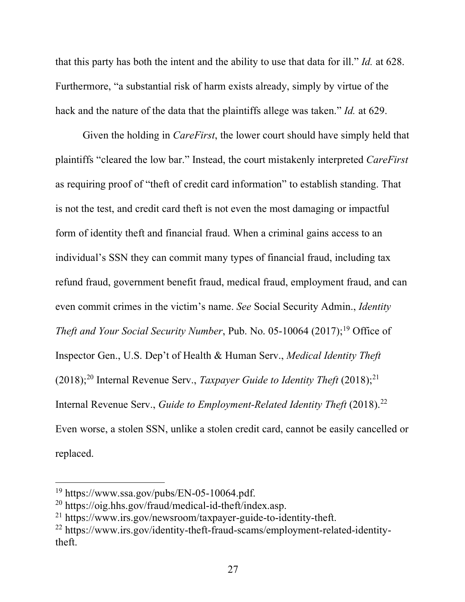that this party has both the intent and the ability to use that data for ill." *Id.* at 628. Furthermore, "a substantial risk of harm exists already, simply by virtue of the hack and the nature of the data that the plaintiffs allege was taken." *Id.* at 629.

Given the holding in *CareFirst*, the lower court should have simply held that plaintiffs "cleared the low bar." Instead, the court mistakenly interpreted *CareFirst*  as requiring proof of "theft of credit card information" to establish standing. That is not the test, and credit card theft is not even the most damaging or impactful form of identity theft and financial fraud. When a criminal gains access to an individual's SSN they can commit many types of financial fraud, including tax refund fraud, government benefit fraud, medical fraud, employment fraud, and can even commit crimes in the victim's name. *See* Social Security Admin., *Identity Theft and Your Social Security Number*, Pub. No. 05-10064 (2017); <sup>19</sup> Office of Inspector Gen., U.S. Dep't of Health & Human Serv., *Medical Identity Theft* (2018); <sup>20</sup> Internal Revenue Serv., *Taxpayer Guide to Identity Theft* (2018); 21 Internal Revenue Serv., *Guide to Employment-Related Identity Theft* (2018). 22 Even worse, a stolen SSN, unlike a stolen credit card, cannot be easily cancelled or replaced.

 <sup>19</sup> https://www.ssa.gov/pubs/EN-05-10064.pdf.

<sup>20</sup> https://oig.hhs.gov/fraud/medical-id-theft/index.asp.

<sup>21</sup> https://www.irs.gov/newsroom/taxpayer-guide-to-identity-theft.

<sup>22</sup> https://www.irs.gov/identity-theft-fraud-scams/employment-related-identitytheft.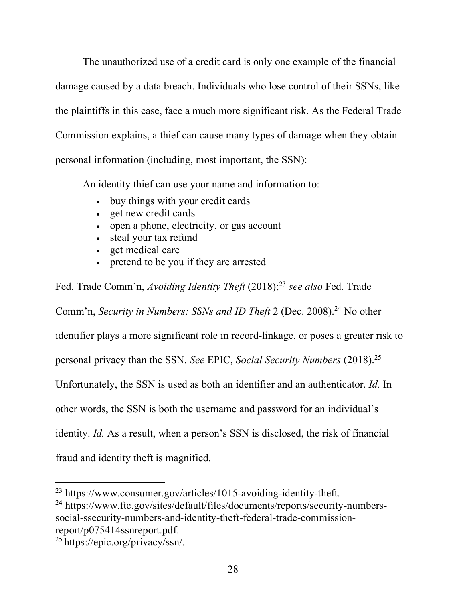The unauthorized use of a credit card is only one example of the financial damage caused by a data breach. Individuals who lose control of their SSNs, like the plaintiffs in this case, face a much more significant risk. As the Federal Trade Commission explains, a thief can cause many types of damage when they obtain personal information (including, most important, the SSN):

An identity thief can use your name and information to:

- buy things with your credit cards
- get new credit cards
- open a phone, electricity, or gas account
- steal your tax refund
- get medical care
- pretend to be you if they are arrested

Fed. Trade Comm'n, *Avoiding Identity Theft* (2018); <sup>23</sup> *see also* Fed. Trade

Comm'n, *Security in Numbers: SSNs and ID Theft* 2 (Dec. 2008). <sup>24</sup> No other

identifier plays a more significant role in record-linkage, or poses a greater risk to

personal privacy than the SSN. *See* EPIC, *Social Security Numbers* (2018). 25

Unfortunately, the SSN is used as both an identifier and an authenticator. *Id.* In

other words, the SSN is both the username and password for an individual's

identity. *Id.* As a result, when a person's SSN is disclosed, the risk of financial

fraud and identity theft is magnified.

<sup>24</sup> https://www.ftc.gov/sites/default/files/documents/reports/security-numberssocial-ssecurity-numbers-and-identity-theft-federal-trade-commissionreport/p075414ssnreport.pdf.

 <sup>23</sup> https://www.consumer.gov/articles/1015-avoiding-identity-theft.

<sup>25</sup> https://epic.org/privacy/ssn/.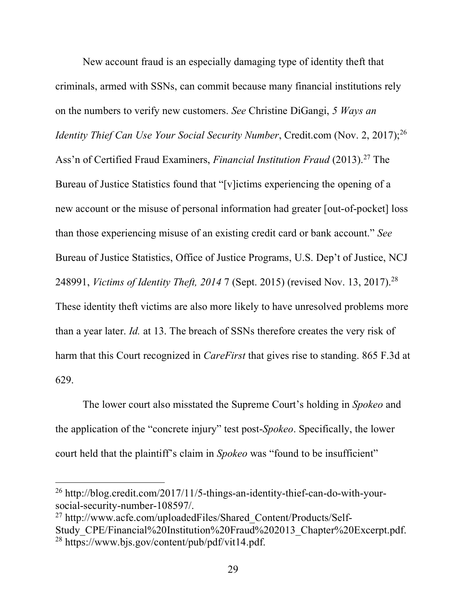New account fraud is an especially damaging type of identity theft that criminals, armed with SSNs, can commit because many financial institutions rely on the numbers to verify new customers. *See* Christine DiGangi, *5 Ways an Identity Thief Can Use Your Social Security Number*, Credit.com (Nov. 2, 2017); 26 Ass'n of Certified Fraud Examiners, *Financial Institution Fraud* (2013). <sup>27</sup> The Bureau of Justice Statistics found that "[v]ictims experiencing the opening of a new account or the misuse of personal information had greater [out-of-pocket] loss than those experiencing misuse of an existing credit card or bank account." *See*  Bureau of Justice Statistics, Office of Justice Programs, U.S. Dep't of Justice, NCJ 248991, *Victims of Identity Theft, 2014* 7 (Sept. 2015) (revised Nov. 13, 2017). 28 These identity theft victims are also more likely to have unresolved problems more than a year later. *Id.* at 13. The breach of SSNs therefore creates the very risk of harm that this Court recognized in *CareFirst* that gives rise to standing. 865 F.3d at 629.

The lower court also misstated the Supreme Court's holding in *Spokeo* and the application of the "concrete injury" test post-*Spokeo*. Specifically, the lower court held that the plaintiff's claim in *Spokeo* was "found to be insufficient"

 <sup>26</sup> http://blog.credit.com/2017/11/5-things-an-identity-thief-can-do-with-yoursocial-security-number-108597/.

<sup>&</sup>lt;sup>27</sup> http://www.acfe.com/uploadedFiles/Shared\_Content/Products/Self-Study\_CPE/Financial%20Institution%20Fraud%202013\_Chapter%20Excerpt.pdf. <sup>28</sup> https://www.bjs.gov/content/pub/pdf/vit14.pdf.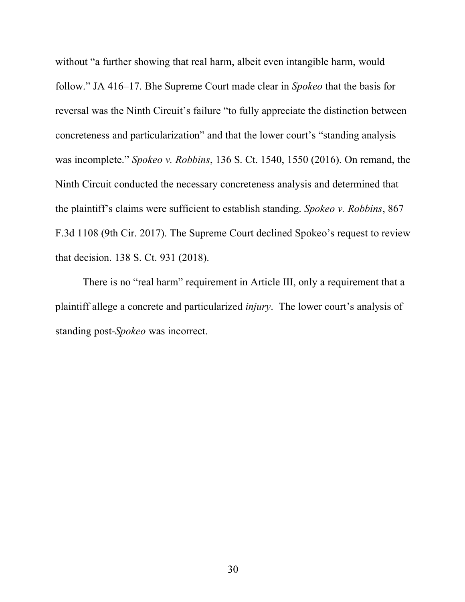without "a further showing that real harm, albeit even intangible harm, would follow." JA 416–17. Bhe Supreme Court made clear in *Spokeo* that the basis for reversal was the Ninth Circuit's failure "to fully appreciate the distinction between concreteness and particularization" and that the lower court's "standing analysis was incomplete." *Spokeo v. Robbins*, 136 S. Ct. 1540, 1550 (2016). On remand, the Ninth Circuit conducted the necessary concreteness analysis and determined that the plaintiff's claims were sufficient to establish standing. *Spokeo v. Robbins*, 867 F.3d 1108 (9th Cir. 2017). The Supreme Court declined Spokeo's request to review that decision. 138 S. Ct. 931 (2018).

There is no "real harm" requirement in Article III, only a requirement that a plaintiff allege a concrete and particularized *injury*. The lower court's analysis of standing post-*Spokeo* was incorrect.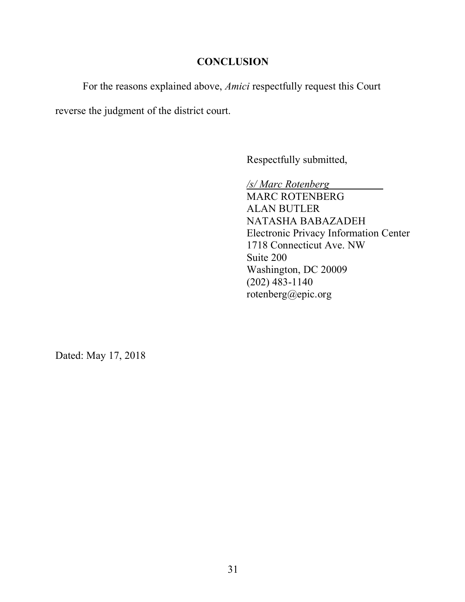## **CONCLUSION**

For the reasons explained above, *Amici* respectfully request this Court

reverse the judgment of the district court.

Respectfully submitted,

*/s/ Marc Rotenberg* MARC ROTENBERG ALAN BUTLER NATASHA BABAZADEH Electronic Privacy Information Center 1718 Connecticut Ave. NW Suite 200 Washington, DC 20009 (202) 483-1140 rotenberg@epic.org

Dated: May 17, 2018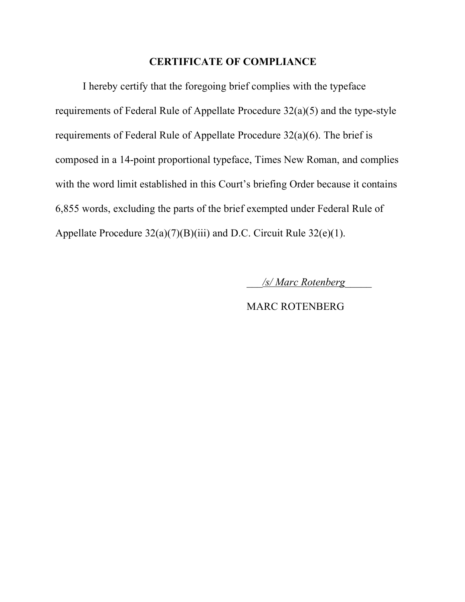## **CERTIFICATE OF COMPLIANCE**

I hereby certify that the foregoing brief complies with the typeface requirements of Federal Rule of Appellate Procedure 32(a)(5) and the type-style requirements of Federal Rule of Appellate Procedure 32(a)(6). The brief is composed in a 14-point proportional typeface, Times New Roman, and complies with the word limit established in this Court's briefing Order because it contains 6,855 words, excluding the parts of the brief exempted under Federal Rule of Appellate Procedure 32(a)(7)(B)(iii) and D.C. Circuit Rule 32(e)(1).

\_\_\_*/s/ Marc Rotenberg*\_\_\_\_\_

MARC ROTENBERG